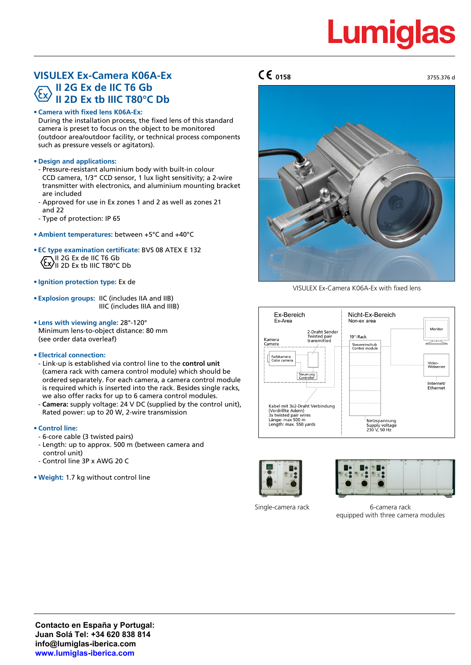# **Lumiglas**

3755.376 d

## **VISULEX Ex-Camera K06A-Ex II 2G Ex de IIC T6 Gb II 2D Ex tb IIIC T80°C Db**

**• Camera with fixed lens K06A-Ex:**

During the installation process, the fixed lens of this standard camera is preset to focus on the object to be monitored (outdoor area/outdoor facility, or technical process components such as pressure vessels or agitators).

### **• Design and applications:**

- Pressure-resistant aluminium body with built-in colour CCD camera, 1/3" CCD sensor, 1 lux light sensitivity; a 2-wire transmitter with electronics, and aluminium mounting bracket are included
- Approved for use in Ex zones 1 and 2 as well as zones 21 and 22
- Type of protection: IP 65
- **• Ambient temperatures:** between +5°C and +40°C
- **• EC type examination certificate:** BVS 08 ATEX E 132 II 2G Ex de IIC T6 Gb II 2D Ex tb IIIC T80°C Db
- **• Ignition protection type:** Ex de
- **• Explosion groups:** IIC (includes IIA and IIB) IIIC (includes IIIA and IIIB)
- **• Lens with viewing angle:** 28°-120° Minimum lens-to-object distance: 80 mm (see order data overleaf)
- **Electrical connection:**
- Link-up is established via control line to the **control unit** (camera rack with camera control module) which should be ordered separately. For each camera, a camera control module is required which is inserted into the rack. Besides single racks, we also offer racks for up to 6 camera control modules.
- **Camera:** supply voltage: 24 V DC (supplied by the control unit), Rated power: up to 20 W, 2-wire transmission

### **• Control line:**

- 6-core cable (3 twisted pairs)
- Length: up to approx. 500 m (between camera and control unit)
- Control line 3P x AWG 20 C
- **• Weight:** 1.7 kg without control line

## **0158**



VISULEX Ex-Camera K06A-Ex with fixed lens







Single-camera rack 6-camera rack equipped with three camera modules